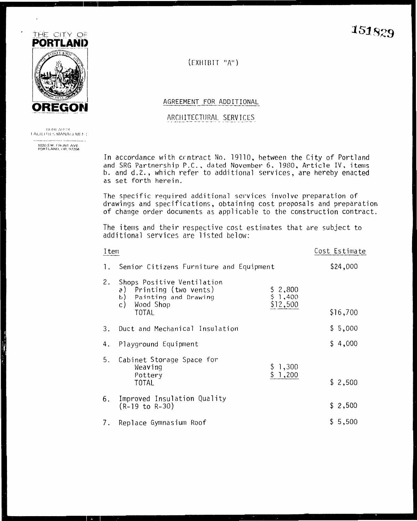

**BURLAU OF** FACILITIES MANAGEMENT

1020 S.W. FRONT AVE.<br>PORTLAND, OR. 97204

151829

 $(EXHIBIT "A")$ 

AGREEMENT FOR ADDITIONAL

ARCHITECTURAL SERVICES

In accordance with crntract No. 19110, between the City of Portland and SRG Partnership P.C., dated November 6, 1980, Article IV, items b. and d.2., which refer to additional services, are hereby enacted as set forth herein.

The specific required additional services involve preparation of drawings and specifications, obtaining cost proposals and preparation of change order documents as applicable to the construction contract.

The items and their respective cost estimates that are subject to additional services are listed below:

| Item |                                                                                                                                |                              | Cost Estimate |
|------|--------------------------------------------------------------------------------------------------------------------------------|------------------------------|---------------|
| 1.   | Senior Citizens Furniture and Equipment                                                                                        |                              | \$24,000      |
| 2.   | Shops Positive Ventilation<br>Printing (two vents)<br>a)<br>b)<br>Painting and Drawing<br>Wood Shop<br>$\mathsf{c}$ )<br>TOTAL | 2,800<br>\$1,400<br>\$12,500 | \$16,700      |
| 3.   | Duct and Mechanical Insulation                                                                                                 |                              | \$5,000       |
| 4.   | Playground Equipment                                                                                                           |                              | \$4,000       |
| 5.   | Cabinet Storage Space for<br>Weaving<br>Pottery                                                                                | 1,300<br>\$.<br>1,200        |               |
|      | TOTAL                                                                                                                          |                              | \$2,500       |
| 6.   | Improved Insulation Quality<br>(R-19 to R-30)                                                                                  |                              | \$2,500       |
| 7.   | Replace Gymnasium Roof                                                                                                         |                              | \$5,500       |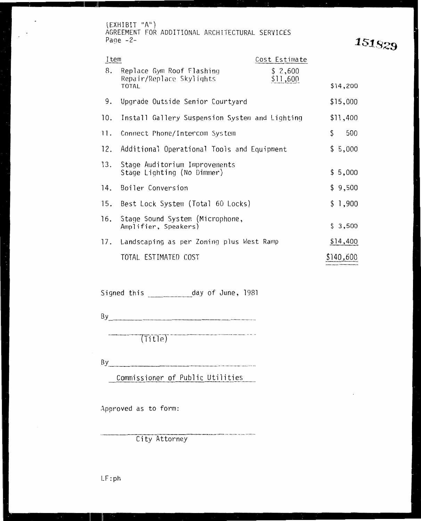(EXHIBIT "A") AGREEMENT FOR ADDITIONAL ARCHITECTURAL SERVICES Page  $-2$ -

 $\ddot{\phantom{1}}$ 

 $\mathcal{L}^{\text{max}}$ 

151829

| Item |                                                                       | Cost Estimate       |           |
|------|-----------------------------------------------------------------------|---------------------|-----------|
| 8.   | Replace Gym Roof Flashing<br>Repair/Replace Skylights<br><b>TOTAL</b> | \$2,600<br>\$11,600 | \$14,200  |
| 9.   | Upgrade Outside Senior Courtyard                                      |                     | \$15,000  |
| 10.  | Install Gallery Suspension System and Lighting                        |                     | \$11,400  |
| 11.  | Connect Phone/Intercom System                                         |                     | \$<br>500 |
|      | 12. Additional Operational Tools and Equipment                        |                     | \$5,000   |
| 13.  | Stage Auditorium Improvements<br>Stage Lighting (No Dimmer)           |                     | \$5,000   |
| 14.  | Boiler Conversion                                                     |                     | \$9,500   |
| 15.  | Best Lock System (Total 60 Locks)                                     |                     | \$ 1,900  |
| 16.  | Stage Sound System (Microphone,<br>Amplifier, Speakers)               |                     | \$3,500   |
| 17.  | Landscaping as per Zoning plus West Ramp                              |                     | \$14,400  |
|      | TOTAL ESTIMATED COST                                                  |                     | \$140,600 |
|      |                                                                       |                     |           |

Signed this \_\_\_\_\_\_\_\_\_\_\_\_\_\_ day of June, 1981

 $By$ 

(Title)

By **Example 20** Separate the set of the set of the set of the set of the set of the set of the set of the set of the set of the set of the set of the set of the set of the set of the set of the set of the set of the set of

Commissioner of Public Utilities

.<br>Alankan syistem pengunaan di kabilang ke masa pinasan ing dagan mengentuk di kalendar

Approved as to form:

City Attorney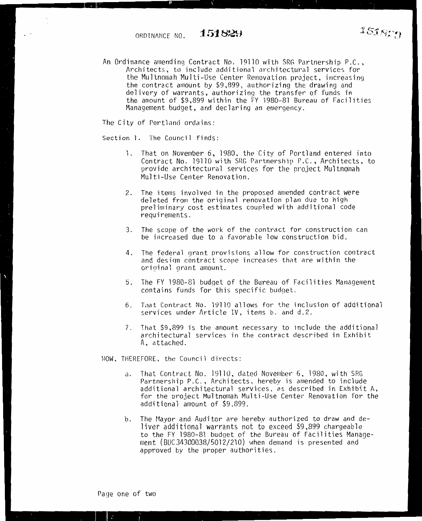An Ordinance amending Contract No. 19110 with SRG Partnership P.C., Architects, to include additional architectural services for the Multnomah Multi-Use Center Renovation project, increasing the contract amount by \$9,899, authorizing the drawing and delivery of warrants, authorizing the transfer of funds in the amount of \$9,899 within the FY 1980-81 Bureau of Facilities Management budget, and declaring an emergency.

The City of Portland ordains:

 $\overline{\phantom{a}}$ 

Section 1. The Council finds:

- l. That on November 6, 1980, the City of Portland entered into Contract No. 19110 with SRG Partnership P.C., Architects, to provide architectural services for the project Multnomah Multi-Use Center Renovation.
- 2. The items involved in the proposed amended contract were<br>deleted from the original renovation plan due to high preliminary cost estimates coupled with additional code requirements.
- 3. The scope of the work of the contract for construction can be increased due to a favorable low construction bid.
- 4. The federal grant provisions allow for construction contract and desiqn contract scope increases that are within the original grant amount.
- 5. The FY 1980-81 budqet of the Bureau of Facilities Management contains funds for this specific budget.
- 6. That Contract No. 19110 allows for the inclusion of additional services under Article IV, items b. and d.2.
- 7. That \$9,899 is the amount necessary to include the additional architectural services in the contract described in Exhibit A, attached.

NOW, THEREFORE, the Council directs:

- a. That Contract No. 19110, dated November 6, 1980, with SRG Partnership P.C., Architects, hereby is amended to include additional architectural services, as described in Exhibit A, for the oroject Multnomah Multi-Use Center Renovation for the additional amount of \$9,899.
- b. The Mayor and Auditor are hereby authorized to draw and deliver additional warrants not to exceed \$9,899 chargeable to the FY 1980-81 budget of the Bureau of Facilities Management (BUC34300038/5012/210) when demand is presented and approved by the proper authorities.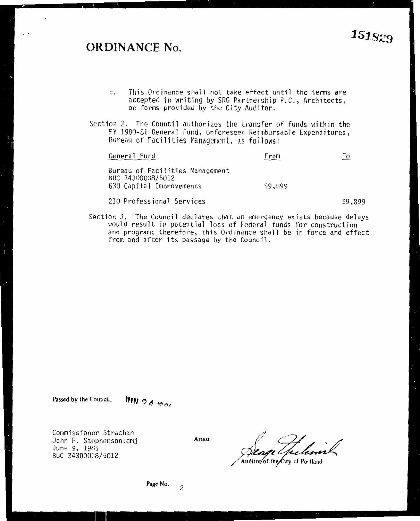### **0 <sup>1</sup>RDINANCE No.**

- This Ordinance shall not take effect until the terms are accepted in writing by SRG Partnership P.C., Architects,  $c.$ forms provided by the City Auditor. on forms provided by the City Auditor.
- Section 2. The Council authorizes the transfer of funds within the<br>FY 1980-81 General Fund, Unforeseen Reimbursable Expenditures, Bureau of Facilities Management, as follows:

| General Fund                                                                                                                                                                                                                                                                                                                                                                                                                                                                        | From    | То    |
|-------------------------------------------------------------------------------------------------------------------------------------------------------------------------------------------------------------------------------------------------------------------------------------------------------------------------------------------------------------------------------------------------------------------------------------------------------------------------------------|---------|-------|
| Bureau of Facilities Management<br>BUC 34300038/5012<br>630 Capital Improvements                                                                                                                                                                                                                                                                                                                                                                                                    | \$9,899 |       |
| $0.10 \, \text{m} \cdot \text{m} \cdot \text{m} \cdot \text{m} \cdot \text{m} \cdot \text{m} \cdot \text{m} \cdot \text{m} \cdot \text{m} \cdot \text{m} \cdot \text{m} \cdot \text{m} \cdot \text{m} \cdot \text{m} \cdot \text{m} \cdot \text{m} \cdot \text{m} \cdot \text{m} \cdot \text{m} \cdot \text{m} \cdot \text{m} \cdot \text{m} \cdot \text{m} \cdot \text{m} \cdot \text{m} \cdot \text{m} \cdot \text{m} \cdot \text{m} \cdot \text{m} \cdot \text{m} \cdot \text{m$ |         | co oc |

210 Professional Services \$9,899 Section 3. The Council declares that an emergency exists because delays would result in potential loss of Federal funds for construction and program; therefore, this Ordinance shall be in force and effect from and after its passage by the Council.

**Passed by the Council,** 

'''"' , *m (\.,* 

Commissioner Strachan John F. Stephenson: cmj<br>June 9, 1981 BUC 34300038/5012

Attest:

Auditor of the City of Portland /Audi~~

## 1s1-sz9

**Page No.** 

2